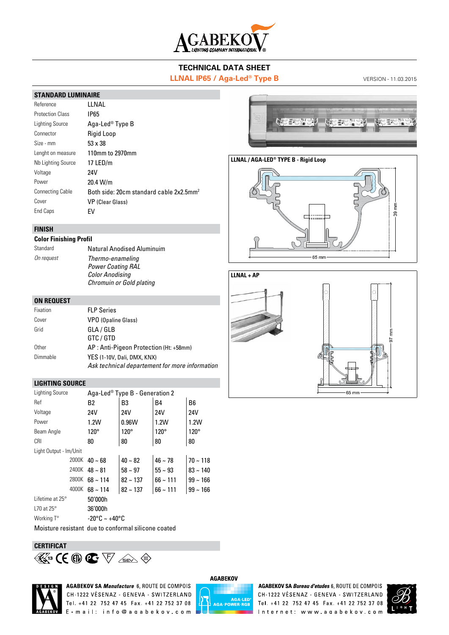

# **TECHNICAL DATA SHEET**

# **LLNAL IP65 / Aga-Led<sup>®</sup> Type B** VERSION - 11.03.2015

## **STANDARD LUMINAIRE**

| Reference               | I I NAI                                             |
|-------------------------|-----------------------------------------------------|
| <b>Protection Class</b> | IP65                                                |
| Lighting Source         | Aga-Led® Type B                                     |
| Connector               | Rigid Loop                                          |
| Size - mm               | $53 \times 38$                                      |
| Lenght on measure       | 110mm to 2970mm                                     |
| Nb Lighting Source      | 17 $LED/m$                                          |
| Voltage                 | 24V                                                 |
| Power                   | 20.4 W/m                                            |
| <b>Connecting Cable</b> | Both side: 20cm standard cable 2x2.5mm <sup>2</sup> |
| Cover                   | VP (Clear Glass)                                    |
| End Caps                | FV                                                  |

## **FINISH**

#### **Color Finishing Profil**

| Standard   | Natural Anodised Aluminuim                                                                                |
|------------|-----------------------------------------------------------------------------------------------------------|
| On request | Thermo-enameling<br><b>Power Coating RAL</b><br><b>Color Anodising</b><br><b>Chromuin or Gold plating</b> |

#### **ON REQUEST**

| Fixation | <b>FLP Series</b>                                                             |
|----------|-------------------------------------------------------------------------------|
| Cover    | <b>VPO (Opaline Glass)</b>                                                    |
| Grid     | GLA / GLB<br>GTC / GTD                                                        |
| Other    | AP: Anti-Pigeon Protection (Ht: +58mm)                                        |
| Dimmable | YES (1-10V, Dali, DMX, KNX)<br>Ask technical departement for more information |

#### **LIGHTING SOURCE**

| <b>Lighting Source</b> | Aga-Led® Type B - Generation 2 |               |               |                |  |
|------------------------|--------------------------------|---------------|---------------|----------------|--|
| Ref                    | B2                             | B3            | <b>B4</b>     | B <sub>6</sub> |  |
| Voltage                | 24V                            | 24V           | 24V           | 24V            |  |
| Power                  | 1.2W                           | 0.96W         | 1.2W          | 1.2W           |  |
| Beam Angle             | $120^\circ$                    | $120^\circ$   | $120^\circ$   | $120^\circ$    |  |
| <b>CRI</b>             | 80                             | 80            | 80            | 80             |  |
| Light Output - Im/Unit |                                |               |               |                |  |
|                        | 2000K $40 \sim 68$             | $40 - 82$     | $46 - 78$     | $70 - 118$     |  |
|                        | 2400K $48 \sim 81$             | $58 \sim 97$  | $55 \sim 93$  | $83 - 140$     |  |
| 2800K                  | $68 \sim 114$                  | $82 \sim 137$ | $66 \sim 111$ | $99 - 166$     |  |
| 4000K                  | $68 \sim 114$                  | $82 \sim 137$ | $66 - 111$    | $99 - 166$     |  |
| Lifetime at $25^\circ$ | 50'000h                        |               |               |                |  |
| L70 at 25 $^{\circ}$   | 36'000h                        |               |               |                |  |
| Working T°             | -20°C ~ +40°C                  |               |               |                |  |

Moisture resistant due to conformal silicone coated

# **CERTIFICAT 14**<sup>3</sup> ( $\theta \in \nabla$  and  $\phi$



**AGABEKOV SA Manufacture 6, ROUTE DE COMPOIS** CH-1222 VÉSENAZ - GENEVA - SWITZERLAND Tel. +41 22 752 47 45 Fax. +41 22 752 37 08 E - mail: info@agabekov.com



AGABEKOV SA Bureau d'etudes 6, ROUTE DE COMPOIS CH-1222 VÉSENAZ - GENEVA - SWITZERLAND Tel. +41 22 752 47 45 Fax. +41 22 752 37 08 Internet: www.agabekov.com





#### **LLNAL / AGA-LED® TYPE B - Rigid Loop**